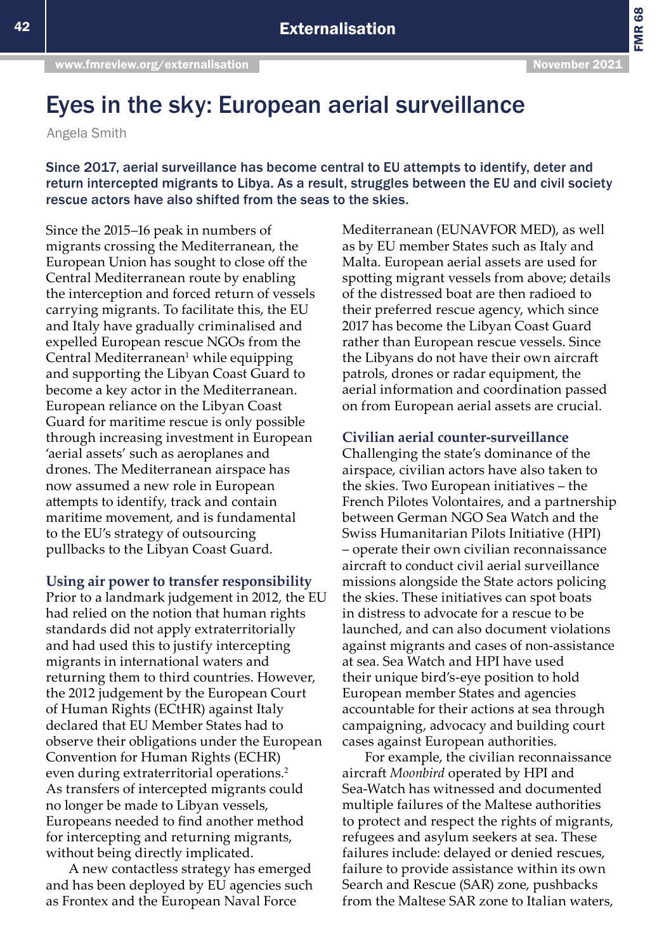FMR 68

## Eyes in the sky: European aerial surveillance

Angela Smith

Since 2017, aerial surveillance has become central to EU attempts to identify, deter and return intercepted migrants to Libya. As a result, struggles between the EU and civil society rescue actors have also shifted from the seas to the skies.

Since the 2015–16 peak in numbers of migrants crossing the Mediterranean, the European Union has sought to close off the Central Mediterranean route by enabling the interception and forced return of vessels carrying migrants. To facilitate this, the EU and Italy have gradually criminalised and expelled European rescue NGOs from the Central Mediterranean<sup>1</sup> while equipping and supporting the Libyan Coast Guard to become a key actor in the Mediterranean. European reliance on the Libyan Coast Guard for maritime rescue is only possible through increasing investment in European 'aerial assets' such as aeroplanes and drones. The Mediterranean airspace has now assumed a new role in European attempts to identify, track and contain maritime movement, and is fundamental to the EU's strategy of outsourcing pullbacks to the Libyan Coast Guard.

**Using air power to transfer responsibility** 

Prior to a landmark judgement in 2012, the EU had relied on the notion that human rights standards did not apply extraterritorially and had used this to justify intercepting migrants in international waters and returning them to third countries. However, the 2012 judgement by the European Court of Human Rights (ECtHR) against Italy declared that EU Member States had to observe their obligations under the European Convention for Human Rights (ECHR) even during extraterritorial operations.<sup>2</sup> As transfers of intercepted migrants could no longer be made to Libyan vessels, Europeans needed to find another method for intercepting and returning migrants, without being directly implicated.

A new contactless strategy has emerged and has been deployed by EU agencies such as Frontex and the European Naval Force

Mediterranean (EUNAVFOR MED), as well as by EU member States such as Italy and Malta. European aerial assets are used for spotting migrant vessels from above; details of the distressed boat are then radioed to their preferred rescue agency, which since 2017 has become the Libyan Coast Guard rather than European rescue vessels. Since the Libyans do not have their own aircraft patrols, drones or radar equipment, the aerial information and coordination passed on from European aerial assets are crucial.

## **Civilian aerial counter-surveillance**

Challenging the state's dominance of the airspace, civilian actors have also taken to the skies. Two European initiatives – the French Pilotes Volontaires, and a partnership between German NGO Sea Watch and the Swiss Humanitarian Pilots Initiative (HPI) – operate their own civilian reconnaissance aircraft to conduct civil aerial surveillance missions alongside the State actors policing the skies. These initiatives can spot boats in distress to advocate for a rescue to be launched, and can also document violations against migrants and cases of non-assistance at sea. Sea Watch and HPI have used their unique bird's-eye position to hold European member States and agencies accountable for their actions at sea through campaigning, advocacy and building court cases against European authorities.

For example, the civilian reconnaissance aircraft *Moonbird* operated by HPI and Sea-Watch has witnessed and documented multiple failures of the Maltese authorities to protect and respect the rights of migrants, refugees and asylum seekers at sea. These failures include: delayed or denied rescues, failure to provide assistance within its own Search and Rescue (SAR) zone, pushbacks from the Maltese SAR zone to Italian waters,